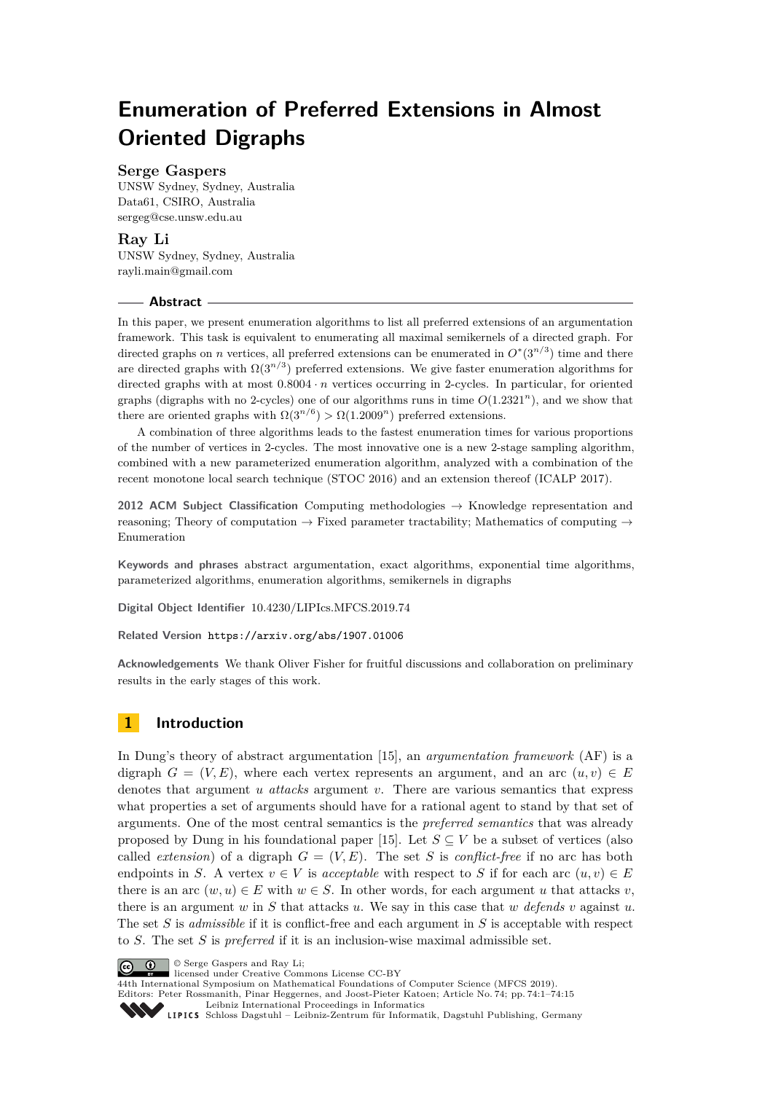# **Enumeration of Preferred Extensions in Almost Oriented Digraphs**

# **Serge Gaspers**

UNSW Sydney, Sydney, Australia Data61, CSIRO, Australia [sergeg@cse.unsw.edu.au](mailto:sergeg@cse.unsw.edu.au)

# **Ray Li**

UNSW Sydney, Sydney, Australia [rayli.main@gmail.com](mailto:rayli.main@gmail.com)

## **Abstract**

In this paper, we present enumeration algorithms to list all preferred extensions of an argumentation framework. This task is equivalent to enumerating all maximal semikernels of a directed graph. For directed graphs on *n* vertices, all preferred extensions can be enumerated in  $O^*(3^{n/3})$  time and there are directed graphs with  $\Omega(3^{n/3})$  preferred extensions. We give faster enumeration algorithms for directed graphs with at most  $0.8004 \cdot n$  vertices occurring in 2-cycles. In particular, for oriented graphs (digraphs with no 2-cycles) one of our algorithms runs in time  $O(1.2321^n)$ , and we show that there are oriented graphs with  $\Omega(3^{n/6}) > \Omega(1.2009^n)$  preferred extensions.

A combination of three algorithms leads to the fastest enumeration times for various proportions of the number of vertices in 2-cycles. The most innovative one is a new 2-stage sampling algorithm, combined with a new parameterized enumeration algorithm, analyzed with a combination of the recent monotone local search technique (STOC 2016) and an extension thereof (ICALP 2017).

**2012 ACM Subject Classification** Computing methodologies → Knowledge representation and reasoning; Theory of computation  $\rightarrow$  Fixed parameter tractability; Mathematics of computing  $\rightarrow$ Enumeration

**Keywords and phrases** abstract argumentation, exact algorithms, exponential time algorithms, parameterized algorithms, enumeration algorithms, semikernels in digraphs

**Digital Object Identifier** [10.4230/LIPIcs.MFCS.2019.74](https://doi.org/10.4230/LIPIcs.MFCS.2019.74)

**Related Version** <https://arxiv.org/abs/1907.01006>

**Acknowledgements** We thank Oliver Fisher for fruitful discussions and collaboration on preliminary results in the early stages of this work.

# **1 Introduction**

In Dung's theory of abstract argumentation [\[15\]](#page-13-0), an *argumentation framework* (AF) is a digraph  $G = (V, E)$ , where each vertex represents an argument, and an arc  $(u, v) \in E$ denotes that argument *u attacks* argument *v*. There are various semantics that express what properties a set of arguments should have for a rational agent to stand by that set of arguments. One of the most central semantics is the *preferred semantics* that was already proposed by Dung in his foundational paper [\[15\]](#page-13-0). Let  $S \subseteq V$  be a subset of vertices (also called *extension*) of a digraph  $G = (V, E)$ . The set *S* is *conflict-free* if no arc has both endpoints in *S*. A vertex  $v \in V$  is *acceptable* with respect to *S* if for each arc  $(u, v) \in E$ there is an arc  $(w, u) \in E$  with  $w \in S$ . In other words, for each argument *u* that attacks *v*, there is an argument *w* in *S* that attacks *u*. We say in this case that *w* defends *v* against *u*. The set *S* is *admissible* if it is conflict-free and each argument in *S* is acceptable with respect to *S*. The set *S* is *preferred* if it is an inclusion-wise maximal admissible set.



licensed under Creative Commons License CC-BY

44th International Symposium on Mathematical Foundations of Computer Science (MFCS 2019). Editors: Peter Rossmanith, Pinar Heggernes, and Joost-Pieter Katoen; Article No. 74; pp. 74:1–74[:15](#page-14-0)

[Leibniz International Proceedings in Informatics](https://www.dagstuhl.de/lipics/)

Leibniz International Froceedings in Informatik, Dagstuhl Publishing, Germany<br>LIPICS [Schloss Dagstuhl – Leibniz-Zentrum für Informatik, Dagstuhl Publishing, Germany](https://www.dagstuhl.de)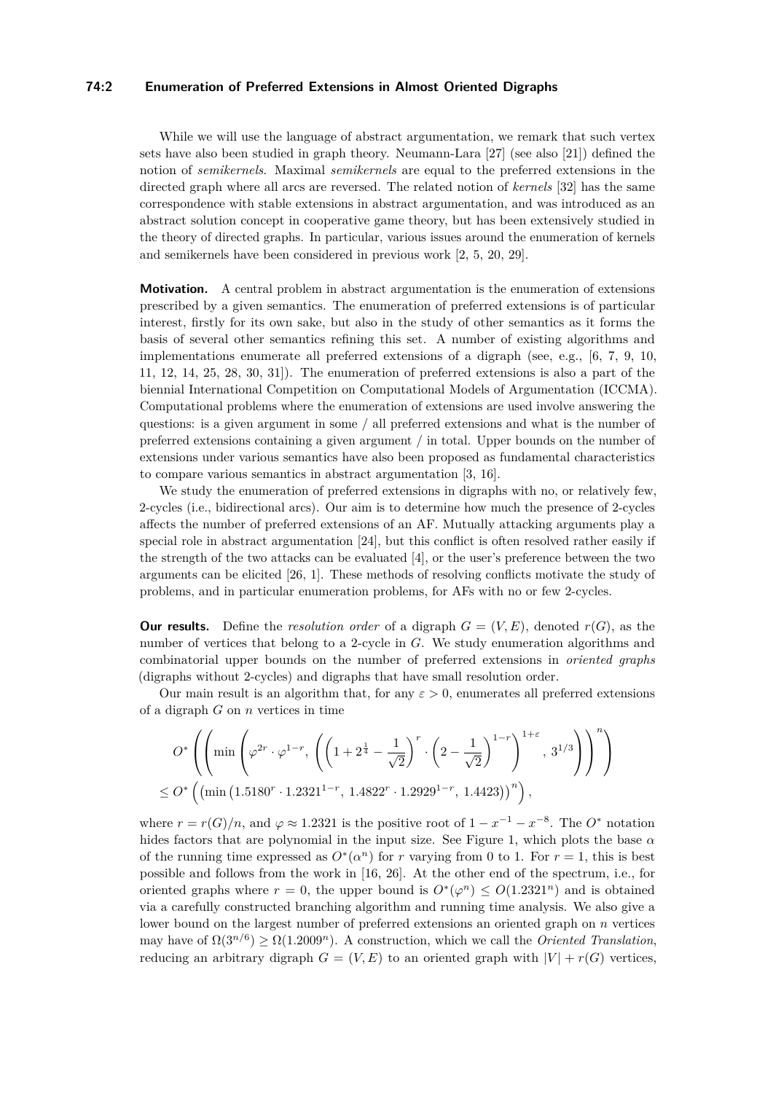#### **74:2 Enumeration of Preferred Extensions in Almost Oriented Digraphs**

While we will use the language of abstract argumentation, we remark that such vertex sets have also been studied in graph theory. Neumann-Lara [\[27\]](#page-14-1) (see also [\[21\]](#page-14-2)) defined the notion of *semikernels*. Maximal *semikernels* are equal to the preferred extensions in the directed graph where all arcs are reversed. The related notion of *kernels* [\[32\]](#page-14-3) has the same correspondence with stable extensions in abstract argumentation, and was introduced as an abstract solution concept in cooperative game theory, but has been extensively studied in the theory of directed graphs. In particular, various issues around the enumeration of kernels and semikernels have been considered in previous work [\[2,](#page-13-1) [5,](#page-13-2) [20,](#page-14-4) [29\]](#page-14-5).

**Motivation.** A central problem in abstract argumentation is the enumeration of extensions prescribed by a given semantics. The enumeration of preferred extensions is of particular interest, firstly for its own sake, but also in the study of other semantics as it forms the basis of several other semantics refining this set. A number of existing algorithms and implementations enumerate all preferred extensions of a digraph (see, e.g., [\[6,](#page-13-3) [7,](#page-13-4) [9,](#page-13-5) [10,](#page-13-6) [11,](#page-13-7) [12,](#page-13-8) [14,](#page-13-9) [25,](#page-14-6) [28,](#page-14-7) [30,](#page-14-8) [31\]](#page-14-9)). The enumeration of preferred extensions is also a part of the biennial International Competition on Computational Models of Argumentation (ICCMA). Computational problems where the enumeration of extensions are used involve answering the questions: is a given argument in some / all preferred extensions and what is the number of preferred extensions containing a given argument / in total. Upper bounds on the number of extensions under various semantics have also been proposed as fundamental characteristics to compare various semantics in abstract argumentation [\[3,](#page-13-10) [16\]](#page-13-11).

We study the enumeration of preferred extensions in digraphs with no, or relatively few, 2-cycles (i.e., bidirectional arcs). Our aim is to determine how much the presence of 2-cycles affects the number of preferred extensions of an AF. Mutually attacking arguments play a special role in abstract argumentation [\[24\]](#page-14-10), but this conflict is often resolved rather easily if the strength of the two attacks can be evaluated [\[4\]](#page-13-12), or the user's preference between the two arguments can be elicited [\[26,](#page-14-11) [1\]](#page-13-13). These methods of resolving conflicts motivate the study of problems, and in particular enumeration problems, for AFs with no or few 2-cycles.

**Our results.** Define the *resolution order* of a digraph  $G = (V, E)$ , denoted  $r(G)$ , as the number of vertices that belong to a 2-cycle in *G*. We study enumeration algorithms and combinatorial upper bounds on the number of preferred extensions in *oriented graphs* (digraphs without 2-cycles) and digraphs that have small resolution order.

Our main result is an algorithm that, for any  $\varepsilon > 0$ , enumerates all preferred extensions of a digraph *G* on *n* vertices in time

$$
O^*\left(\left(\min\left(\varphi^{2r}\cdot \varphi^{1-r}, \left(\left(1+2^{\frac{1}{4}}-\frac{1}{\sqrt{2}}\right)^r\cdot \left(2-\frac{1}{\sqrt{2}}\right)^{1-r}\right)^{1+\varepsilon}, 3^{1/3}\right)\right)^n\right) \le O^*\left(\left(\min\left(1.5180^r\cdot 1.2321^{1-r}, 1.4822^r\cdot 1.2929^{1-r}, 1.4423\right)\right)^n\right),
$$

where  $r = r(G)/n$ , and  $\varphi \approx 1.2321$  is the positive root of  $1 - x^{-1} - x^{-8}$ . The  $O^*$  notation hides factors that are polynomial in the input size. See [Figure 1,](#page-2-0) which plots the base *α* of the running time expressed as  $O^*(\alpha^n)$  for *r* varying from 0 to 1. For  $r = 1$ , this is best possible and follows from the work in [\[16,](#page-13-11) [26\]](#page-14-11). At the other end of the spectrum, i.e., for oriented graphs where  $r = 0$ , the upper bound is  $O^*(\varphi^n) \leq O(1.2321^n)$  and is obtained via a carefully constructed branching algorithm and running time analysis. We also give a lower bound on the largest number of preferred extensions an oriented graph on *n* vertices may have of  $\Omega(3^{n/6}) \ge \Omega(1.2009^n)$ . A construction, which we call the *Oriented Translation*, reducing an arbitrary digraph  $G = (V, E)$  to an oriented graph with  $|V| + r(G)$  vertices,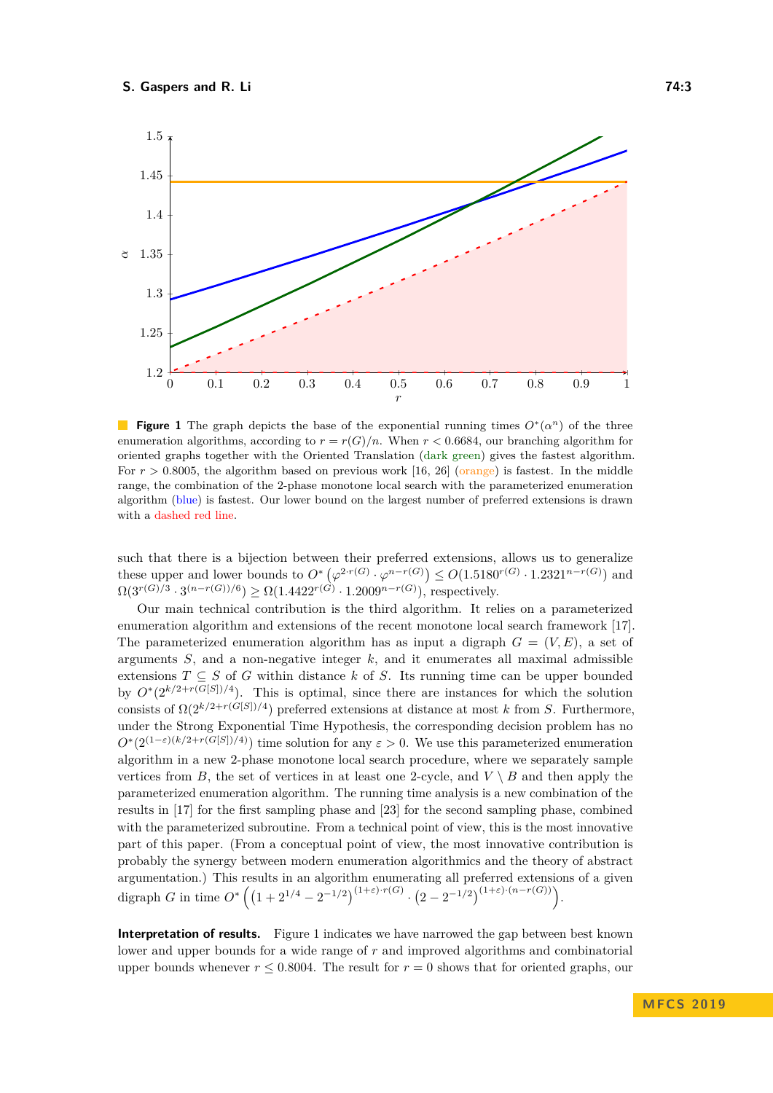<span id="page-2-0"></span>

**Figure 1** The graph depicts the base of the exponential running times  $O^*(\alpha^n)$  of the three enumeration algorithms, according to  $r = r(G)/n$ . When  $r < 0.6684$ , our branching algorithm for oriented graphs together with the Oriented Translation (dark green) gives the fastest algorithm. For  $r > 0.8005$ , the algorithm based on previous work [\[16,](#page-13-11) [26\]](#page-14-11) (orange) is fastest. In the middle range, the combination of the 2-phase monotone local search with the parameterized enumeration algorithm (blue) is fastest. Our lower bound on the largest number of preferred extensions is drawn with a dashed red line.

such that there is a bijection between their preferred extensions, allows us to generalize these upper and lower bounds to  $O^*(\varphi^{2 \cdot r(G)} \cdot \varphi^{n-r(G)}) \leq O(1.5180^{r(G)} \cdot 1.2321^{n-r(G)})$  and  $\Omega(3^{r(G)/3} \cdot 3^{(n-r(G))/6}) \ge \Omega(1.4422^{r(G)} \cdot 1.2009^{n-r(G)})$ , respectively.

Our main technical contribution is the third algorithm. It relies on a parameterized enumeration algorithm and extensions of the recent monotone local search framework [\[17\]](#page-14-12). The parameterized enumeration algorithm has as input a digraph  $G = (V, E)$ , a set of arguments *S*, and a non-negative integer *k*, and it enumerates all maximal admissible extensions  $T \subseteq S$  of *G* within distance *k* of *S*. Its running time can be upper bounded by  $O^*(2^{k/2+r(G[S])/4})$ . This is optimal, since there are instances for which the solution consists of  $\Omega(2^{k/2+r(G[S])/4})$  preferred extensions at distance at most *k* from *S*. Furthermore, under the Strong Exponential Time Hypothesis, the corresponding decision problem has no  $O^*(2^{(1-\varepsilon)(k/2+r(G[S])/4)})$  time solution for any  $\varepsilon > 0$ . We use this parameterized enumeration algorithm in a new 2-phase monotone local search procedure, where we separately sample vertices from *B*, the set of vertices in at least one 2-cycle, and  $V \setminus B$  and then apply the parameterized enumeration algorithm. The running time analysis is a new combination of the results in [\[17\]](#page-14-12) for the first sampling phase and [\[23\]](#page-14-13) for the second sampling phase, combined with the parameterized subroutine. From a technical point of view, this is the most innovative part of this paper. (From a conceptual point of view, the most innovative contribution is probably the synergy between modern enumeration algorithmics and the theory of abstract argumentation.) This results in an algorithm enumerating all preferred extensions of a given digraph *G* in time  $O^*((1+2^{1/4}-2^{-1/2})^{(1+\varepsilon)\cdot r(G)} \cdot (2-2^{-1/2})^{(1+\varepsilon)\cdot (n-r(G))}).$ 

**Interpretation of results.** [Figure 1](#page-2-0) indicates we have narrowed the gap between best known lower and upper bounds for a wide range of *r* and improved algorithms and combinatorial upper bounds whenever  $r \leq 0.8004$ . The result for  $r = 0$  shows that for oriented graphs, our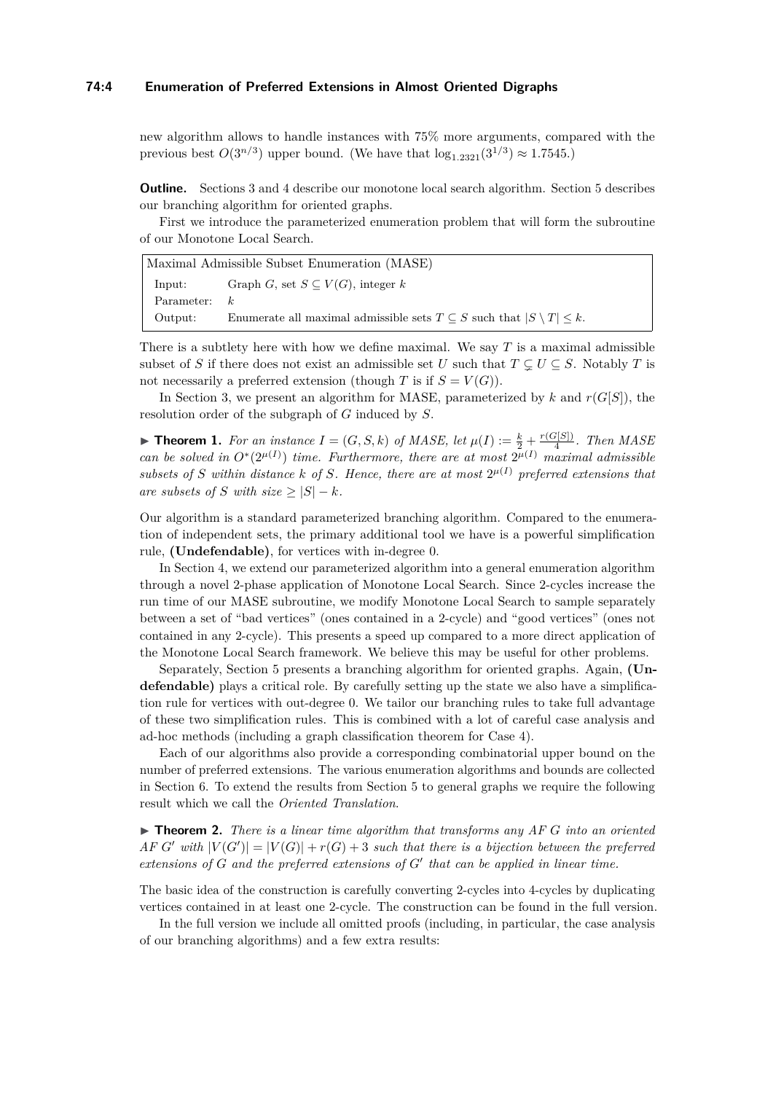### **74:4 Enumeration of Preferred Extensions in Almost Oriented Digraphs**

new algorithm allows to handle instances with 75% more arguments, compared with the previous best  $O(3^{n/3})$  upper bound. (We have that  $\log_{1.2321}(3^{1/3}) \approx 1.7545$ .)

**Outline.** Sections [3](#page-5-0) and [4](#page-7-0) describe our monotone local search algorithm. Section [5](#page-9-0) describes our branching algorithm for oriented graphs.

First we introduce the parameterized enumeration problem that will form the subroutine of our Monotone Local Search.

| Maximal Admissible Subset Enumeration (MASE) |                                                                                            |  |  |  |
|----------------------------------------------|--------------------------------------------------------------------------------------------|--|--|--|
| Input:                                       | Graph G, set $S \subseteq V(G)$ , integer k                                                |  |  |  |
| Parameter:                                   | k.                                                                                         |  |  |  |
| Output:                                      | Enumerate all maximal admissible sets $T \subseteq S$ such that $ S \setminus T  \leq k$ . |  |  |  |

There is a subtlety here with how we define maximal. We say *T* is a maximal admissible subset of *S* if there does not exist an admissible set *U* such that  $T \subseteq U \subseteq S$ . Notably *T* is not necessarily a preferred extension (though *T* is if  $S = V(G)$ ).

In [Section 3,](#page-5-0) we present an algorithm for MASE, parameterized by  $k$  and  $r(G[S])$ , the resolution order of the subgraph of *G* induced by *S*.

<span id="page-3-1"></span>**Find 1.** For an instance  $I = (G, S, k)$  of MASE, let  $\mu(I) := \frac{k}{2} + \frac{r(G[S])}{4}$  $\frac{f(S)}{4}$ . Then MASE *can be solved in*  $O^*(2^{\mu(I)})$  *time. Furthermore, there are at most*  $2^{\mu(I)}$  *maximal admissible* subsets of *S* within distance *k* of *S.* Hence, there are at most  $2^{\mu(I)}$  preferred extensions that *are subsets of S with size*  $\geq |S| - k$ *.* 

Our algorithm is a standard parameterized branching algorithm. Compared to the enumeration of independent sets, the primary additional tool we have is a powerful simplification rule, **[\(Undefendable\)](#page-5-1)**, for vertices with in-degree 0.

In [Section 4,](#page-7-0) we extend our parameterized algorithm into a general enumeration algorithm through a novel 2-phase application of Monotone Local Search. Since 2-cycles increase the run time of our MASE subroutine, we modify Monotone Local Search to sample separately between a set of "bad vertices" (ones contained in a 2-cycle) and "good vertices" (ones not contained in any 2-cycle). This presents a speed up compared to a more direct application of the Monotone Local Search framework. We believe this may be useful for other problems.

Separately, [Section 5](#page-9-0) presents a branching algorithm for oriented graphs. Again, **[\(Un](#page-5-1)[defendable\)](#page-5-1)** plays a critical role. By carefully setting up the state we also have a simplification rule for vertices with out-degree 0. We tailor our branching rules to take full advantage of these two simplification rules. This is combined with a lot of careful case analysis and ad-hoc methods (including a graph classification theorem for Case 4).

Each of our algorithms also provide a corresponding combinatorial upper bound on the number of preferred extensions. The various enumeration algorithms and bounds are collected in [Section 6.](#page-12-0) To extend the results from [Section 5](#page-9-0) to general graphs we require the following result which we call the *Oriented Translation*.

<span id="page-3-0"></span> $\triangleright$  **Theorem 2.** *There is a linear time algorithm that transforms any AF G into an oriented*  $AF$  *G*<sup> $\prime$ </sup> *with*  $|V(G')| = |V(G)| + r(G) + 3$  *such that there is a bijection between the preferred*  $extensors of G and the preferred extensions of G' that can be applied in linear time.$ 

The basic idea of the construction is carefully converting 2-cycles into 4-cycles by duplicating vertices contained in at least one 2-cycle. The construction can be found in the full version.

In the full version we include all omitted proofs (including, in particular, the case analysis of our branching algorithms) and a few extra results: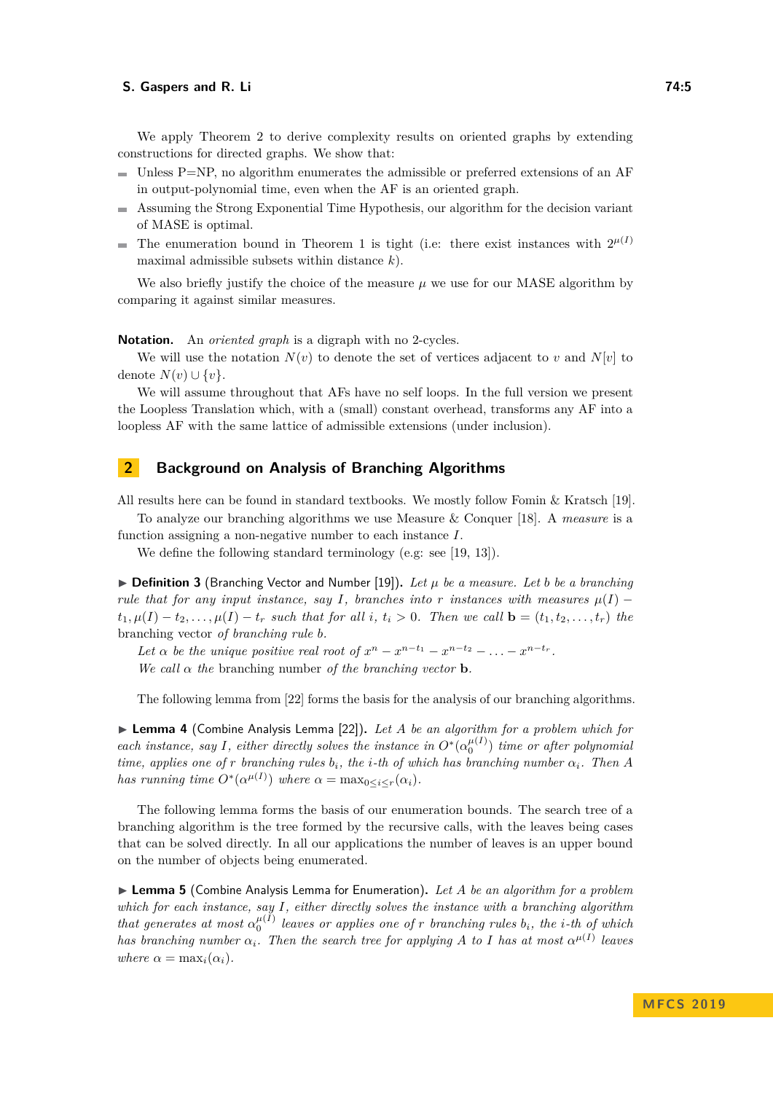#### **S. Gaspers and R. Li 74:5**

We apply [Theorem 2](#page-3-0) to derive complexity results on oriented graphs by extending constructions for directed graphs. We show that:

- Unless P=NP, no algorithm enumerates the admissible or preferred extensions of an AF in output-polynomial time, even when the AF is an oriented graph.
- Assuming the Strong Exponential Time Hypothesis, our algorithm for the decision variant of MASE is optimal.
- The enumeration bound in [Theorem 1](#page-3-1) is tight (i.e: there exist instances with  $2^{\mu(I)}$ maximal admissible subsets within distance *k*).

We also briefly justify the choice of the measure  $\mu$  we use for our MASE algorithm by comparing it against similar measures.

**Notation.** An *oriented graph* is a digraph with no 2-cycles.

We will use the notation  $N(v)$  to denote the set of vertices adjacent to v and  $N[v]$  to denote  $N(v) \cup \{v\}$ .

We will assume throughout that AFs have no self loops. In the full version we present the Loopless Translation which, with a (small) constant overhead, transforms any AF into a loopless AF with the same lattice of admissible extensions (under inclusion).

## <span id="page-4-0"></span>**2 Background on Analysis of Branching Algorithms**

All results here can be found in standard textbooks. We mostly follow Fomin & Kratsch [\[19\]](#page-14-14).

To analyze our branching algorithms we use Measure & Conquer [\[18\]](#page-14-15). A *measure* is a function assigning a non-negative number to each instance *I*.

We define the following standard terminology (e.g: see [\[19,](#page-14-14) [13\]](#page-13-14)).

 $\triangleright$  **Definition 3** (Branching Vector and Number [\[19\]](#page-14-14)). Let  $\mu$  be a measure. Let b be a branching *rule that for any input instance, say I*, *branches into r instances with measures*  $\mu(I)$  −  $t_1,\mu(I)-t_2,\ldots,\mu(I)-t_r$  such that for all i,  $t_i>0$ . Then we call  $\mathbf{b}=(t_1,t_2,\ldots,t_r)$  the branching vector *of branching rule b.*

Let  $\alpha$  be the unique positive real root of  $x^n - x^{n-t_1} - x^{n-t_2} - \ldots - x^{n-t_r}$ .

*We call*  $\alpha$  *the* branching number *of the branching vector* **b**.

The following lemma from [\[22\]](#page-14-16) forms the basis for the analysis of our branching algorithms.

<span id="page-4-1"></span>▶ Lemma 4 (Combine Analysis Lemma [\[22\]](#page-14-16)). Let A be an algorithm for a problem which for *each instance, say I, either directly solves the instance in*  $O^*(\alpha_0^{\mu(I)})$  *time or after polynomial time, applies one of r branching rules*  $b_i$ , the *i*-th of which has branching number  $\alpha_i$ . Then A *has running time*  $O^*(\alpha^{\mu(I)})$  *where*  $\alpha = \max_{0 \le i \le r} (\alpha_i)$ *.* 

The following lemma forms the basis of our enumeration bounds. The search tree of a branching algorithm is the tree formed by the recursive calls, with the leaves being cases that can be solved directly. In all our applications the number of leaves is an upper bound on the number of objects being enumerated.

<span id="page-4-2"></span>▶ Lemma 5 (Combine Analysis Lemma for Enumeration). Let A be an algorithm for a problem *which for each instance, say I, either directly solves the instance with a branching algorithm that generates at most*  $\alpha_0^{\mu(I)}$  *leaves or applies one of r branching rules*  $b_i$ *, the i*-th of which *has branching number*  $\alpha_i$ *. Then the search tree for applying A to I has at most*  $\alpha^{\mu(I)}$  *leaves where*  $\alpha = \max_i(\alpha_i)$ .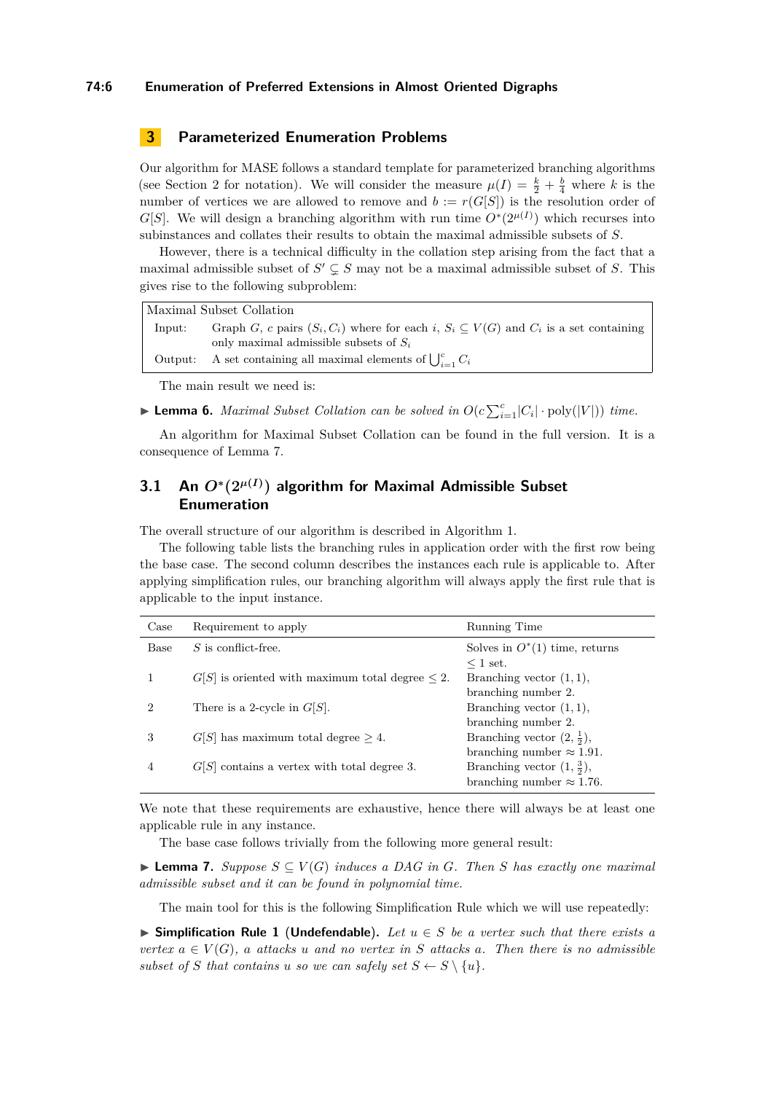#### **74:6 Enumeration of Preferred Extensions in Almost Oriented Digraphs**

# <span id="page-5-0"></span>**3 Parameterized Enumeration Problems**

Our algorithm for MASE follows a standard template for parameterized branching algorithms (see [Section 2](#page-4-0) for notation). We will consider the measure  $\mu(I) = \frac{k}{2} + \frac{b}{4}$  where *k* is the number of vertices we are allowed to remove and  $b := r(G[S])$  is the resolution order of *G*[*S*]. We will design a branching algorithm with run time  $O^*(2^{\mu(I)})$  which recurses into subinstances and collates their results to obtain the maximal admissible subsets of *S*.

However, there is a technical difficulty in the collation step arising from the fact that a maximal admissible subset of  $S' \subsetneq S$  may not be a maximal admissible subset of *S*. This gives rise to the following subproblem:

|        | Maximal Subset Collation                                                                           |
|--------|----------------------------------------------------------------------------------------------------|
| lnput: | Graph G, c pairs $(S_i, C_i)$ where for each i, $S_i \subseteq V(G)$ and $C_i$ is a set containing |
|        | only maximal admissible subsets of $S_i$                                                           |

|  | Output: A set containing all maximal elements of $\bigcup_{i=1}^{c} C_i$ |  |
|--|--------------------------------------------------------------------------|--|
|--|--------------------------------------------------------------------------|--|

The main result we need is:

<span id="page-5-3"></span>**Example 16.** *Maximal Subset Collation can be solved in*  $O(c \sum_{i=1}^{c} |C_i| \cdot \text{poly}(|V|))$  *time.* 

An algorithm for Maximal Subset Collation can be found in the full version. It is a consequence of [Lemma 7.](#page-5-2)

# **3.1 An** *O***<sup>∗</sup> (2***<sup>µ</sup>***(***I***) ) algorithm for Maximal Admissible Subset Enumeration**

The overall structure of our algorithm is described in [Algorithm 1.](#page-6-0)

The following table lists the branching rules in application order with the first row being the base case. The second column describes the instances each rule is applicable to. After applying simplification rules, our branching algorithm will always apply the first rule that is applicable to the input instance.

| Case | Requirement to apply                                    | Running Time                          |
|------|---------------------------------------------------------|---------------------------------------|
| Base | $S$ is conflict-free.                                   | Solves in $O^*(1)$ time, returns      |
|      |                                                         | $\leq 1$ set.                         |
|      | $G[S]$ is oriented with maximum total degree $\leq 2$ . | Branching vector $(1, 1)$ ,           |
|      |                                                         | branching number 2.                   |
| 2    | There is a 2-cycle in $G[S]$ .                          | Branching vector $(1, 1)$ ,           |
|      |                                                         | branching number 2.                   |
| 3    | $G[S]$ has maximum total degree $\geq 4$ .              | Branching vector $(2, \frac{1}{2})$ , |
|      |                                                         | branching number $\approx 1.91$ .     |
| 4    | $G[S]$ contains a vertex with total degree 3.           | Branching vector $(1, \frac{3}{2})$ , |
|      |                                                         | branching number $\approx 1.76$ .     |

We note that these requirements are exhaustive, hence there will always be at least one applicable rule in any instance.

The base case follows trivially from the following more general result:

<span id="page-5-2"></span>**► Lemma 7.** Suppose  $S \subseteq V(G)$  induces a DAG in G. Then S has exactly one maximal *admissible subset and it can be found in polynomial time.*

The main tool for this is the following Simplification Rule which we will use repeatedly:

<span id="page-5-1"></span>**► Simplification Rule 1 (Undefendable).** Let  $u \in S$  be a vertex such that there exists a *vertex*  $a \in V(G)$ *, a attacks u and no vertex in S attacks a. Then there is no admissible subset* of *S* that contains *u so we can safely set*  $S \leftarrow S \setminus \{u\}$ *.*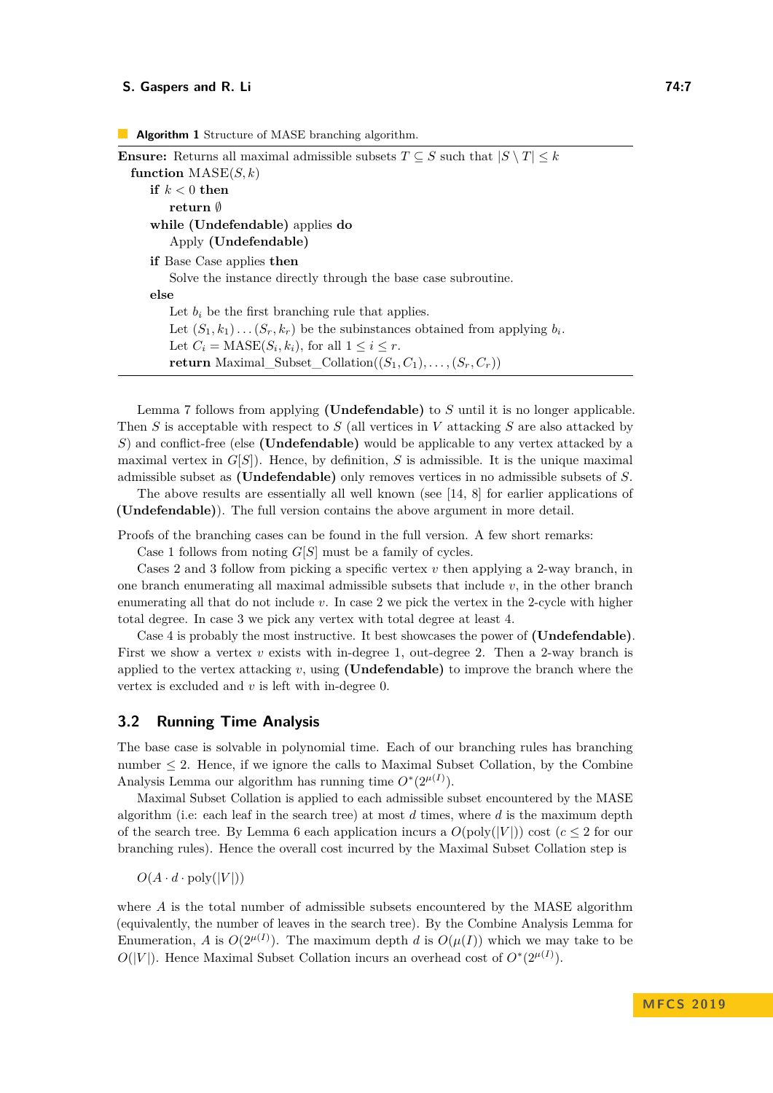```
Ensure: Returns all maximal admissible subsets T \subseteq S such that |S \setminus T| \leq kfunction \text{MASE}(S, k)if k < 0 then
       return ∅
    while (Undefendable) applies do
        Apply (Undefendable)
    if Base Case applies then
        Solve the instance directly through the base case subroutine.
    else
        Let b_i be the first branching rule that applies.
        Let (S_1, k_1) \ldots (S_r, k_r) be the subinstances obtained from applying b_i.
        Let C_i = \text{MASE}(S_i, k_i), for all 1 \leq i \leq r.
       return Maximal_Subset_Collation((S_1, C_1), \ldots, (S_r, C_r))
```
[Lemma 7](#page-5-2) follows from applying **(Undefendable)** to *S* until it is no longer applicable. Then *S* is acceptable with respect to *S* (all vertices in *V* attacking *S* are also attacked by *S*) and conflict-free (else **(Undefendable)** would be applicable to any vertex attacked by a maximal vertex in  $G[S]$ ). Hence, by definition,  $S$  is admissible. It is the unique maximal admissible subset as **(Undefendable)** only removes vertices in no admissible subsets of *S*.

The above results are essentially all well known (see [\[14,](#page-13-9) [8\]](#page-13-15) for earlier applications of **(Undefendable)**). The full version contains the above argument in more detail.

Proofs of the branching cases can be found in the full version. A few short remarks:

Case 1 follows from noting *G*[*S*] must be a family of cycles.

Cases 2 and 3 follow from picking a specific vertex *v* then applying a 2-way branch, in one branch enumerating all maximal admissible subsets that include *v*, in the other branch enumerating all that do not include *v*. In case 2 we pick the vertex in the 2-cycle with higher total degree. In case 3 we pick any vertex with total degree at least 4.

Case 4 is probably the most instructive. It best showcases the power of **[\(Undefendable\)](#page-5-1)**. First we show a vertex *v* exists with in-degree 1, out-degree 2. Then a 2-way branch is applied to the vertex attacking  $v$ , using **[\(Undefendable\)](#page-5-1)** to improve the branch where the vertex is excluded and *v* is left with in-degree 0.

## <span id="page-6-1"></span>**3.2 Running Time Analysis**

The base case is solvable in polynomial time. Each of our branching rules has branching number  $\leq$  2. Hence, if we ignore the calls to Maximal Subset Collation, by the [Combine](#page-4-1) [Analysis Lemma](#page-4-1) our algorithm has running time  $O^*(2^{\mu(I)})$ .

Maximal Subset Collation is applied to each admissible subset encountered by the MASE algorithm (i.e: each leaf in the search tree) at most *d* times, where *d* is the maximum depth of the search tree. By [Lemma 6](#page-5-3) each application incurs a  $O(poly(|V|))$  cost ( $c \leq 2$  for our branching rules). Hence the overall cost incurred by the Maximal Subset Collation step is

 $O(A \cdot d \cdot \text{poly}(|V|))$ 

where *A* is the total number of admissible subsets encountered by the MASE algorithm (equivalently, the number of leaves in the search tree). By the [Combine Analysis Lemma for](#page-4-2) [Enumeration,](#page-4-2) *A* is  $O(2^{\mu(I)})$ . The maximum depth *d* is  $O(\mu(I))$  which we may take to be  $O(|V|)$ . Hence Maximal Subset Collation incurs an overhead cost of  $O^*(2^{\mu(I)})$ .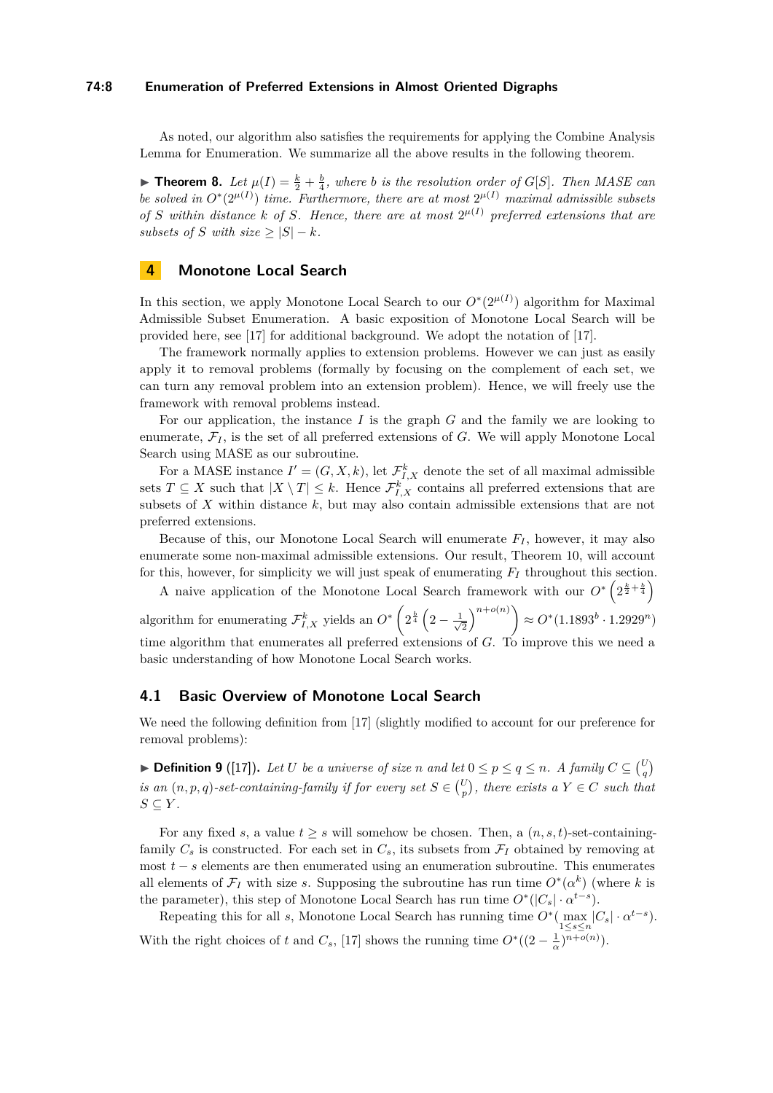#### **74:8 Enumeration of Preferred Extensions in Almost Oriented Digraphs**

As noted, our algorithm also satisfies the requirements for applying the [Combine Analysis](#page-4-2) [Lemma for Enumeration.](#page-4-2) We summarize all the above results in the following theorem.

**Find 1 Find 1 Example 1 h**  $i$  **c** *k*  $\frac{1}{2}$  *f*  $\frac{1}{4}$ *, where b is the resolution order of G*[*S*]*. Then MASE can be solved in*  $O^*(2^{\mu(I)})$  *time. Furthermore, there are at most*  $2^{\mu(I)}$  *maximal admissible subsets* of *S* within distance *k* of *S.* Hence, there are at most  $2^{\mu(I)}$  preferred extensions that are *subsets of S with size*  $\geq |S| - k$ *.* 

# <span id="page-7-0"></span>**4 Monotone Local Search**

In this section, we apply Monotone Local Search to our  $O^*(2^{\mu(I)})$  algorithm for Maximal Admissible Subset Enumeration. A basic exposition of Monotone Local Search will be provided here, see [\[17\]](#page-14-12) for additional background. We adopt the notation of [\[17\]](#page-14-12).

The framework normally applies to extension problems. However we can just as easily apply it to removal problems (formally by focusing on the complement of each set, we can turn any removal problem into an extension problem). Hence, we will freely use the framework with removal problems instead.

For our application, the instance *I* is the graph *G* and the family we are looking to enumerate,  $\mathcal{F}_I$ , is the set of all preferred extensions of *G*. We will apply Monotone Local Search using MASE as our subroutine.

For a MASE instance  $I' = (G, X, k)$ , let  $\mathcal{F}_{I,X}^k$  denote the set of all maximal admissible sets  $T \subseteq X$  such that  $|X \setminus T| \leq k$ . Hence  $\mathcal{F}_{I,X}^k$  contains all preferred extensions that are subsets of *X* within distance *k*, but may also contain admissible extensions that are not preferred extensions.

Because of this, our Monotone Local Search will enumerate  $F_I$ , however, it may also enumerate some non-maximal admissible extensions. Our result, [Theorem 10,](#page-9-1) will account for this, however, for simplicity we will just speak of enumerating *F<sup>I</sup>* throughout this section.

A naive application of the Monotone Local Search framework with our  $O^* \left( 2^{\frac{k}{2} + \frac{b}{4}} \right)$ algorithm for enumerating  $\mathcal{F}_{I,X}^k$  yields an  $O^*$   $\left(2^{\frac{b}{4}}\left(2-\frac{1}{\sqrt{2}}\right)\right)$  $\left(\frac{1}{2}\right)^{n+o(n)}$   $\geq O^*(1.1893^b \cdot 1.2929^n)$ time algorithm that enumerates all preferred extensions of *G*. To improve this we need a basic understanding of how Monotone Local Search works.

## **4.1 Basic Overview of Monotone Local Search**

We need the following definition from [\[17\]](#page-14-12) (slightly modified to account for our preference for removal problems):

▶ **Definition 9** ([\[17\]](#page-14-12)). Let U be a universe of size n and let  $0 \leq p \leq q \leq n$ . A family  $C \subseteq {U \choose q}$ *is an*  $(n, p, q)$ -set-containing-family if for every set  $S \in \binom{U}{p}$ , there exists a  $Y \in C$  such that  $S \subseteq Y$ *.* 

For any fixed *s*, a value  $t > s$  will somehow be chosen. Then, a  $(n, s, t)$ -set-containingfamily  $C_s$  is constructed. For each set in  $C_s$ , its subsets from  $\mathcal{F}_I$  obtained by removing at most *t* − *s* elements are then enumerated using an enumeration subroutine. This enumerates all elements of  $\mathcal{F}_I$  with size *s*. Supposing the subroutine has run time  $O^*(\alpha^k)$  (where *k* is the parameter), this step of Monotone Local Search has run time  $O^*(|C_s| \cdot \alpha^{t-s})$ .

Repeating this for all *s*, Monotone Local Search has running time  $O^*(\max_{1 \leq s \leq n} |C_s| \cdot \alpha^{t-s})$ . With the right choices of *t* and  $C_s$ , [\[17\]](#page-14-12) shows the running time  $O^*((2 - \frac{1}{\alpha})^{n+o(n)})$ .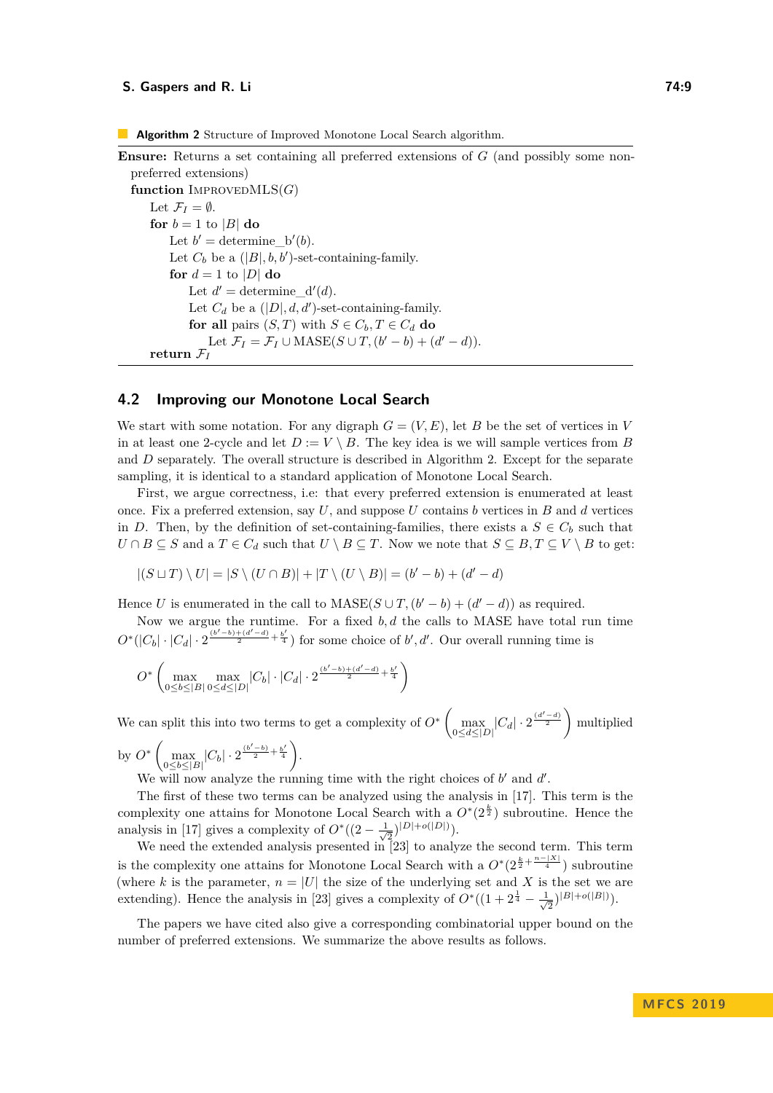<span id="page-8-0"></span>**Algorithm 2** Structure of Improved Monotone Local Search algorithm.

```
Ensure: Returns a set containing all preferred extensions of G (and possibly some non-
preferred extensions)
function IMPROVEDMLS(G)Let \mathcal{F}_I = \emptyset.
    for b = 1 to |B| do
         Let b' = \text{determine\_b}'(b).
         Let C_b be a (|B|, b, b')-set-containing-family.
        for d = 1 to |D| do
             Let d' = \text{determine_d}(d).
             Let C_d be a (|D|, d, d')-set-containing-family.
            for all pairs (S, T) with S \in C_b, T \in C_d do
                 Let \mathcal{F}_I = \mathcal{F}_I \cup \text{MASE}(S \cup T, (b'-b) + (d'-d)).return \mathcal{F}_I
```
## **4.2 Improving our Monotone Local Search**

We start with some notation. For any digraph  $G = (V, E)$ , let *B* be the set of vertices in *V* in at least one 2-cycle and let  $D := V \setminus B$ . The key idea is we will sample vertices from *B* and *D* separately. The overall structure is described in [Algorithm 2.](#page-8-0) Except for the separate sampling, it is identical to a standard application of Monotone Local Search.

First, we argue correctness, i.e: that every preferred extension is enumerated at least once. Fix a preferred extension, say *U*, and suppose *U* contains *b* vertices in *B* and *d* vertices in *D*. Then, by the definition of set-containing-families, there exists a  $S \in C_b$  such that *U* ∩ *B* ⊆ *S* and a *T* ∈ *C*<sup>*d*</sup> such that *U* \ *B* ⊆ *T*. Now we note that  $S \subseteq B, T \subseteq V \setminus B$  to get:

$$
|(S \sqcup T) \setminus U| = |S \setminus (U \cap B)| + |T \setminus (U \setminus B)| = (b' - b) + (d' - d)
$$

Hence *U* is enumerated in the call to  $\text{MASE}(S \cup T, (b' - b) + (d' - d))$  as required.

Now we argue the runtime. For a fixed *b, d* the calls to MASE have total run time  $O^*(|C_b| \cdot |C_d| \cdot 2^{\frac{(b'-b)+(d'-d)}{2}+\frac{b'}{4}})$  for some choice of *b*', *d'*. Our overall running time is

$$
O^* \left( \max_{0 \le b \le |B|} \max_{0 \le d \le |D|} |C_b| \cdot |C_d| \cdot 2^{\frac{(b'-b)+(d'-d)}{2} + \frac{b'}{4}} \right)
$$

We can split this into two terms to get a complexity of  $O^*$   $\left(\max_{0 \le d \le |D|} |C_d| \cdot 2^{\frac{(d'-d)}{2}}\right)$  multiplied by  $O^*$   $\left( \max_{0 \le b \le |B|} |C_b| \cdot 2^{\frac{(b'-b)}{2} + \frac{b'}{4}} \right).$ 

We will now analyze the running time with the right choices of  $b'$  and  $d'$ .

The first of these two terms can be analyzed using the analysis in [\[17\]](#page-14-12). This term is the complexity one attains for Monotone Local Search with a  $O^*(2^{\frac{k}{2}})$  subroutine. Hence the analysis in [\[17\]](#page-14-12) gives a complexity of  $O^*(2-\frac{1}{\sqrt{2}})$  $\frac{1}{2}$ )<sup>|D|+o(|D|)</sup>).

We need the extended analysis presented in  $[23]$  to analyze the second term. This term is the complexity one attains for Monotone Local Search with a  $O^*(2^{\frac{k}{2} + \frac{n-|X|}{4}})$  subroutine (where *k* is the parameter,  $n = |U|$  the size of the underlying set and X is the set we are extending). Hence the analysis in [\[23\]](#page-14-13) gives a complexity of  $O^*(1+2^{\frac{1}{4}}-\frac{1}{4})$  $(\frac{1}{2})^{|B|+o(|B|)}$ ).

The papers we have cited also give a corresponding combinatorial upper bound on the number of preferred extensions. We summarize the above results as follows.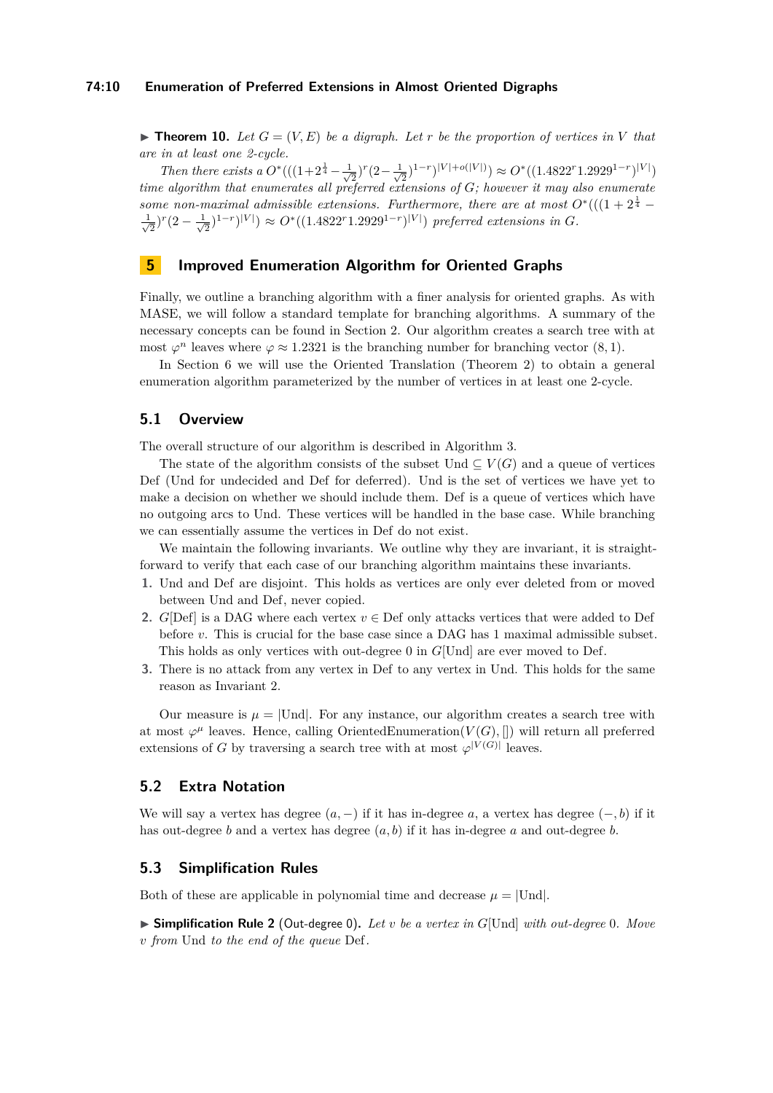### **74:10 Enumeration of Preferred Extensions in Almost Oriented Digraphs**

<span id="page-9-1"></span> $\blacktriangleright$  **Theorem 10.** Let  $G = (V, E)$  be a digraph. Let r be the proportion of vertices in V that *are in at least one 2-cycle.*

*Then there exists a*  $O^*((1+2^{\frac{1}{4}} (\frac{1}{2})^r(2-\frac{1}{\sqrt{2}})$  $\mathcal{O}^*\left((1.4822^r 1.2929^{1-r})^{|V|}\right)$ *time algorithm that enumerates all preferred extensions of G; however it may also enumerate some non-maximal admissible extensions. Furthermore, there are at most*  $O^*((1+2^{\frac{1}{4}}-1)$  $\frac{1}{\sqrt{2}}$  $(\frac{1}{2})^r(2-\frac{1}{\sqrt{2}})$  $\sum_{i=1}^{n} 2^{(1-r)} |V| \ge O^*(1.4822^r 1.2929^{1-r})^{|V|})$  preferred extensions in *G*.

# <span id="page-9-0"></span>**5 Improved Enumeration Algorithm for Oriented Graphs**

Finally, we outline a branching algorithm with a finer analysis for oriented graphs. As with MASE, we will follow a standard template for branching algorithms. A summary of the necessary concepts can be found in [Section 2.](#page-4-0) Our algorithm creates a search tree with at most  $\varphi^n$  leaves where  $\varphi \approx 1.2321$  is the branching number for branching vector (8, 1).

In [Section 6](#page-12-0) we will use the Oriented Translation [\(Theorem 2\)](#page-3-0) to obtain a general enumeration algorithm parameterized by the number of vertices in at least one 2-cycle.

# **5.1 Overview**

The overall structure of our algorithm is described in [Algorithm 3.](#page-10-0)

The state of the algorithm consists of the subset  $U$ nd  $\subseteq V(G)$  and a queue of vertices Def (Und for undecided and Def for deferred). Und is the set of vertices we have yet to make a decision on whether we should include them. Def is a queue of vertices which have no outgoing arcs to Und. These vertices will be handled in the base case. While branching we can essentially assume the vertices in Def do not exist.

We maintain the following invariants. We outline why they are invariant, it is straightforward to verify that each case of our branching algorithm maintains these invariants.

- **1.** Und and Def are disjoint. This holds as vertices are only ever deleted from or moved between Und and Def, never copied.
- <span id="page-9-3"></span>**2.** *G*[Def] is a DAG where each vertex  $v \in$  Def only attacks vertices that were added to Def before *v*. This is crucial for the base case since a DAG has 1 maximal admissible subset. This holds as only vertices with out-degree 0 in *G*[Und] are ever moved to Def.
- **3.** There is no attack from any vertex in Def to any vertex in Und. This holds for the same reason as Invariant 2.

Our measure is  $\mu = |U_{\text{nd}}|$ . For any instance, our algorithm creates a search tree with at most  $\varphi^{\mu}$  leaves. Hence, calling OrientedEnumeration( $V(G),$  []) will return all preferred extensions of *G* by traversing a search tree with at most  $\varphi^{|V(G)|}$  leaves.

## **5.2 Extra Notation**

We will say a vertex has degree  $(a, -)$  if it has in-degree  $a$ , a vertex has degree  $(-, b)$  if it has out-degree *b* and a vertex has degree (*a, b*) if it has in-degree *a* and out-degree *b*.

## **5.3 Simplification Rules**

Both of these are applicable in polynomial time and decrease  $\mu = |U_{\text{nd}}|$ .

<span id="page-9-2"></span>I **Simplification Rule 2** (Out-degree 0)**.** *Let v be a vertex in G*[Und] *with out-degree* 0*. Move v from* Und *to the end of the queue* Def*.*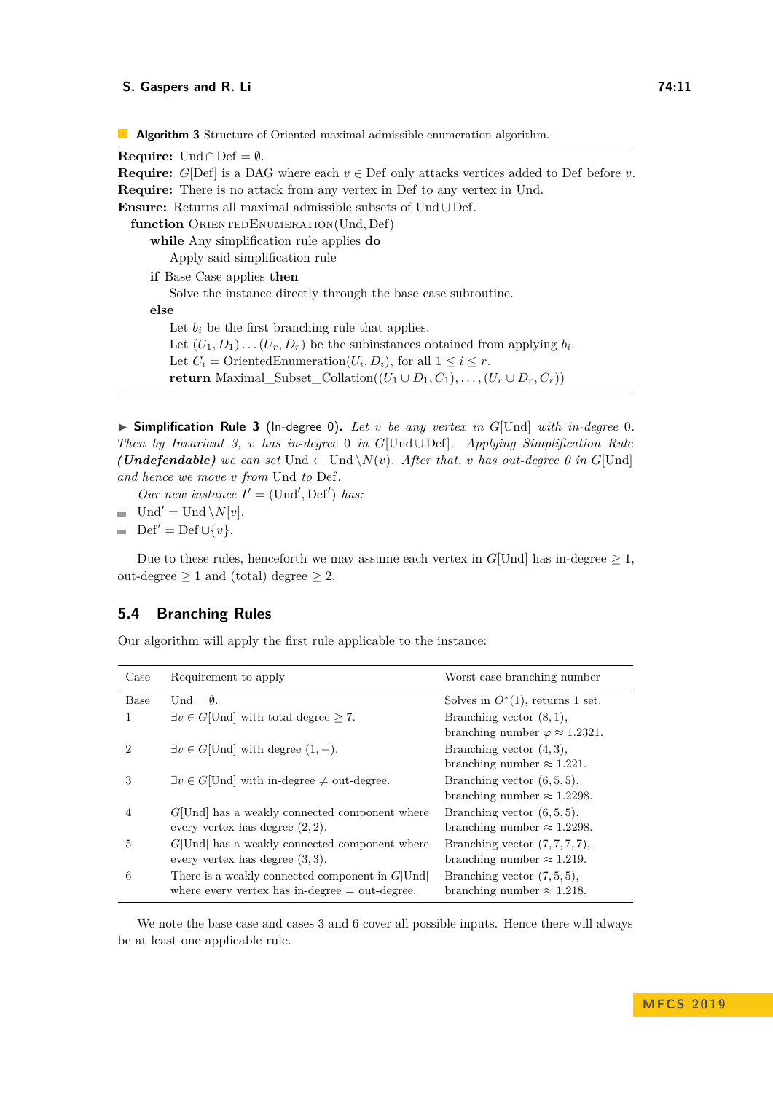<span id="page-10-0"></span>**Algorithm 3** Structure of Oriented maximal admissible enumeration algorithm.

| <b>Require:</b> Und $\cap$ Def = 0.                                                                 |
|-----------------------------------------------------------------------------------------------------|
| <b>Require:</b> G[Def] is a DAG where each $v \in$ Def only attacks vertices added to Def before v. |
| <b>Require:</b> There is no attack from any vertex in Def to any vertex in Und.                     |
| <b>Ensure:</b> Returns all maximal admissible subsets of $Und \cup Def$ .                           |
| function ORIENTEDENUMERATION(Und, Def)                                                              |
| while Any simplification rule applies do                                                            |
| Apply said simplification rule                                                                      |
| if Base Case applies then                                                                           |
| Solve the instance directly through the base case subroutine.                                       |
| else                                                                                                |
| Let $b_i$ be the first branching rule that applies.                                                 |
| Let $(U_1, D_1) \dots (U_r, D_r)$ be the subinstances obtained from applying $b_i$ .                |
| Let $C_i$ = Oriented Enumeration $(U_i, D_i)$ , for all $1 \leq i \leq r$ .                         |
| <b>return</b> Maximal_Subset_Collation( $(U_1 \cup D_1, C_1), \ldots, (U_r \cup D_r, C_r)$ )        |
|                                                                                                     |

I **Simplification Rule 3** (In-degree 0)**.** *Let v be any vertex in G*[Und] *with in-degree* 0*. Then by Invariant 3, v has in-degree* 0 *in G*[Und ∪ Def]*. Applying Simplification Rule (Undefendable) we can set* Und  $\leftarrow$  Und  $\setminus N(v)$ *. After that, v has out-degree 0 in G*[Und] *and hence we move v from* Und *to* Def*.*

*Our new instance*  $I' = (\text{Und}', \text{Def}')$  *has:* 

- $\blacksquare$  Und' = Und \*N*[*v*].
- $\blacksquare$  Def<sup>'</sup> = Def ∪{*v*}*.*

Due to these rules, henceforth we may assume each vertex in  $G[Und]$  has in-degree  $\geq 1$ , out-degree  $\geq 1$  and (total) degree  $\geq 2$ .

# **5.4 Branching Rules**

Our algorithm will apply the first rule applicable to the instance:

| Case        | Requirement to apply                                      | Worst case branching number                 |
|-------------|-----------------------------------------------------------|---------------------------------------------|
| <b>Base</b> | Und $=\emptyset$ .                                        | Solves in $O^*(1)$ , returns 1 set.         |
|             | $\exists v \in G$ [Und] with total degree $\geq 7$ .      | Branching vector $(8, 1)$ ,                 |
|             |                                                           | branching number $\varphi \approx 1.2321$ . |
| 2           | $\exists v \in G$ [Und] with degree $(1, -)$ .            | Branching vector $(4,3)$ ,                  |
|             |                                                           | branching number $\approx 1.221$ .          |
| 3           | $\exists v \in G$ [Und] with in-degree $\neq$ out-degree. | Branching vector $(6, 5, 5)$ ,              |
|             |                                                           | branching number $\approx 1.2298$ .         |
| 4           | $G[Und]$ has a weakly connected component where           | Branching vector $(6, 5, 5)$ ,              |
|             | every vertex has degree $(2, 2)$ .                        | branching number $\approx 1.2298$ .         |
| 5           | $G[Und]$ has a weakly connected component where           | Branching vector $(7, 7, 7, 7)$ ,           |
|             | every vertex has degree $(3,3)$ .                         | branching number $\approx 1.219$ .          |
| 6           | There is a weakly connected component in $G[Und]$         | Branching vector $(7, 5, 5)$ ,              |
|             | where every vertex has in-degree $=$ out-degree.          | branching number $\approx 1.218$ .          |

We note the base case and cases 3 and 6 cover all possible inputs. Hence there will always be at least one applicable rule.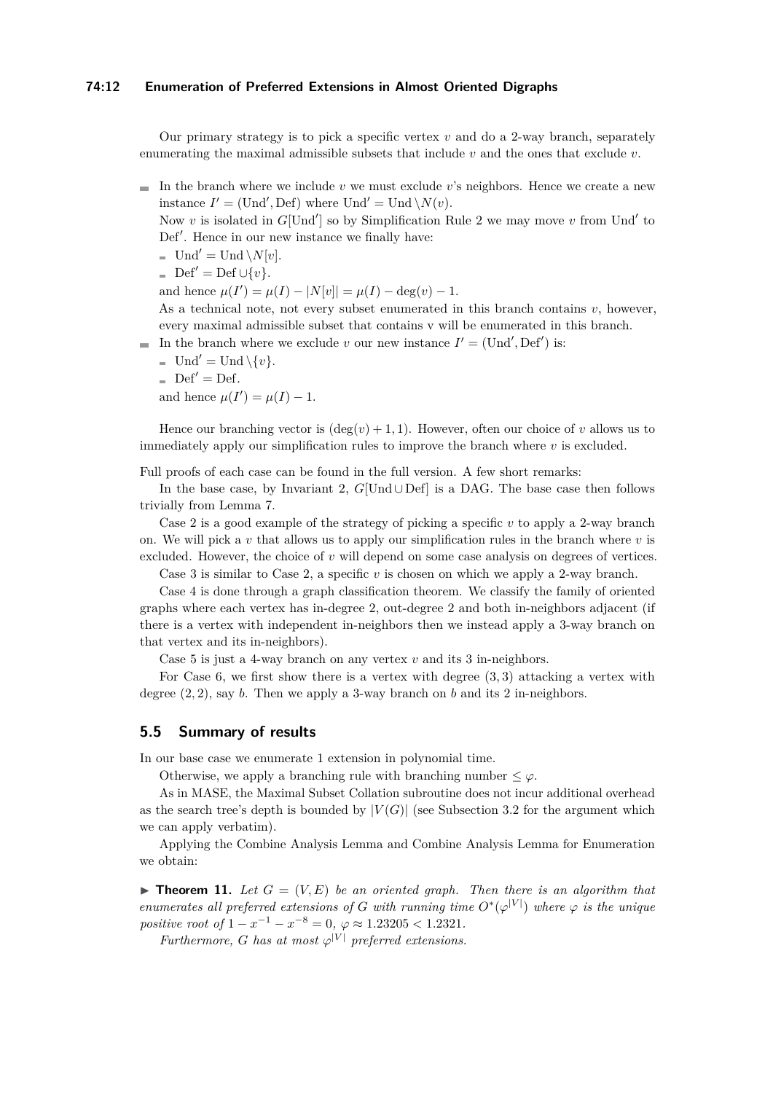### **74:12 Enumeration of Preferred Extensions in Almost Oriented Digraphs**

Our primary strategy is to pick a specific vertex  $v$  and do a 2-way branch, separately enumerating the maximal admissible subsets that include *v* and the ones that exclude *v*.

 $\blacksquare$  In the branch where we include *v* we must exclude *v*'s neighbors. Hence we create a new instance  $I' = (\text{Und}', \text{Def})$  where  $\text{Und}' = \text{Und} \setminus N(v)$ .

Now *v* is isolated in  $G[Und']$  so by [Simplification Rule 2](#page-9-2) we may move *v* from Und' to Def'. Hence in our new instance we finally have:

- $\blacksquare$  Und' = Und \*N*[*v*].
- $\text{Def}' = \text{Def} \cup \{v\}.$

and hence  $\mu(I') = \mu(I) - |N[v]| = \mu(I) - \deg(v) - 1$ .

As a technical note, not every subset enumerated in this branch contains *v*, however, every maximal admissible subset that contains v will be enumerated in this branch.

- In the branch where we exclude *v* our new instance  $I' = (\text{Und}', \text{Def}')$  is:
	- $\text{Und}' = \text{Und} \setminus \{v\}.$
	- $\Box$  Def' = Def.

and hence  $\mu(I') = \mu(I) - 1$ .

Hence our branching vector is  $(\deg(v) + 1, 1)$ . However, often our choice of *v* allows us to immediately apply our simplification rules to improve the branch where *v* is excluded.

Full proofs of each case can be found in the full version. A few short remarks:

In the base case, by Invariant [2,](#page-9-3) *G*[Und ∪ Def] is a DAG. The base case then follows trivially from [Lemma 7.](#page-5-2)

Case 2 is a good example of the strategy of picking a specific *v* to apply a 2-way branch on. We will pick a *v* that allows us to apply our simplification rules in the branch where *v* is excluded. However, the choice of *v* will depend on some case analysis on degrees of vertices.

Case 3 is similar to Case 2, a specific *v* is chosen on which we apply a 2-way branch.

Case 4 is done through a graph classification theorem. We classify the family of oriented graphs where each vertex has in-degree 2, out-degree 2 and both in-neighbors adjacent (if there is a vertex with independent in-neighbors then we instead apply a 3-way branch on that vertex and its in-neighbors).

Case 5 is just a 4-way branch on any vertex *v* and its 3 in-neighbors.

For Case 6, we first show there is a vertex with degree (3*,* 3) attacking a vertex with degree (2*,* 2), say *b*. Then we apply a 3-way branch on *b* and its 2 in-neighbors.

## **5.5 Summary of results**

In our base case we enumerate 1 extension in polynomial time.

Otherwise, we apply a branching rule with branching number  $\leq \varphi$ .

As in MASE, the Maximal Subset Collation subroutine does not incur additional overhead as the search tree's depth is bounded by  $|V(G)|$  (see [Subsection 3.2](#page-6-1) for the argument which we can apply verbatim).

Applying the [Combine Analysis Lemma](#page-4-1) and [Combine Analysis Lemma for Enumeration](#page-4-2) we obtain:

<span id="page-11-0"></span>**Findmer 11.** Let  $G = (V, E)$  be an oriented graph. Then there is an algorithm that *enumerates all preferred extensions of G* with running time  $O^*(\varphi^{|V|})$  where  $\varphi$  is the unique *positive root of*  $1 - x^{-1} - x^{-8} = 0$ ,  $\varphi \approx 1.23205 < 1.2321$ .

*Furthermore, G* has at most  $\varphi^{|V|}$  preferred extensions.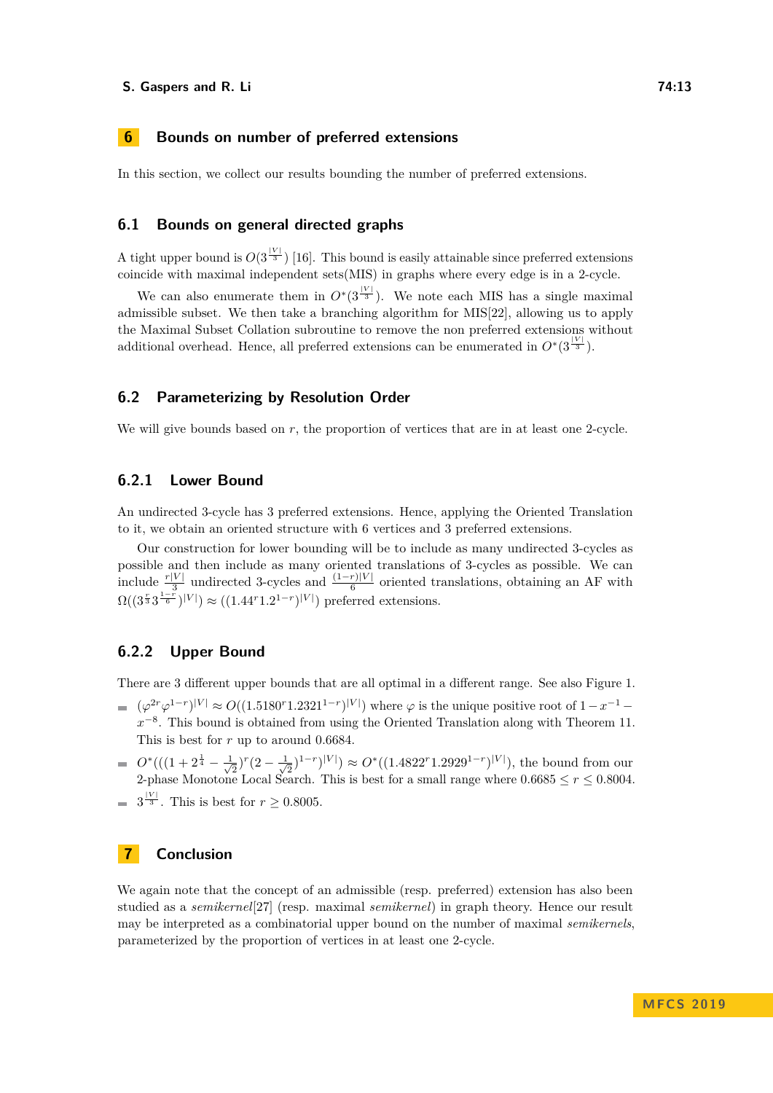#### **S. Gaspers and R. Li 74:13**

## <span id="page-12-0"></span>**6 Bounds on number of preferred extensions**

In this section, we collect our results bounding the number of preferred extensions.

# **6.1 Bounds on general directed graphs**

A tight upper bound is  $O(3^{|V|})$  [\[16\]](#page-13-11). This bound is easily attainable since preferred extensions coincide with maximal independent sets(MIS) in graphs where every edge is in a 2-cycle.

We can also enumerate them in  $O<sup>*</sup>(3<sup>|V|</sup>)$ . We note each MIS has a single maximal admissible subset. We then take a branching algorithm for MIS[\[22\]](#page-14-16), allowing us to apply the Maximal Subset Collation subroutine to remove the non preferred extensions without additional overhead. Hence, all preferred extensions can be enumerated in  $O^*(3^{\frac{|V|}{3}})$ .

## **6.2 Parameterizing by Resolution Order**

We will give bounds based on r, the proportion of vertices that are in at least one 2-cycle.

# **6.2.1 Lower Bound**

An undirected 3-cycle has 3 preferred extensions. Hence, applying the Oriented Translation to it, we obtain an oriented structure with 6 vertices and 3 preferred extensions.

Our construction for lower bounding will be to include as many undirected 3-cycles as possible and then include as many oriented translations of 3-cycles as possible. We can include  $\frac{r|V|}{3}$  undirected 3-cycles and  $\frac{(1-r)|V|}{6}$  oriented translations, obtaining an AF with  $\Omega((3^{\frac{r}{3}}3^{\frac{1-r}{6}})^{|V|}) \approx ((1.44^{r}1.2^{1-r})^{|V|})$  preferred extensions.

## **6.2.2 Upper Bound**

There are 3 different upper bounds that are all optimal in a different range. See also [Figure 1.](#page-2-0)

- $(\varphi^{2r} \varphi^{1-r})^{|V|} \approx O((1.5180^r 1.2321^{1-r})^{|V|})$  where  $\varphi$  is the unique positive root of  $1-x^{-1}$ *x*<sup>-8</sup>. This bound is obtained from using the Oriented Translation along with [Theorem 11.](#page-11-0) This is best for *r* up to around 0.6684.
- $O^*((1+2^{\frac{1}{4}}-\frac{1}{\sqrt{4}}))$  $(\frac{1}{2})^r(2-\frac{1}{\sqrt{2}})$  $\frac{1}{2}$   $\frac{1}{2}$   $\binom{1-r}{1}$   $\binom{V}{2}$  ≈  $O^*(1.4822^r1.2929^{1-r})$ <sup> $\binom{V}{r}$ </sup>, the bound from our 2-phase Monotone Local Search. This is best for a small range where  $0.6685 \le r \le 0.8004$ .
- $3^{\frac{|V|}{3}}$ . This is best for  $r \geq 0.8005$ .

# **7 Conclusion**

We again note that the concept of an admissible (resp. preferred) extension has also been studied as a *semikernel*[\[27\]](#page-14-1) (resp. maximal *semikernel*) in graph theory. Hence our result may be interpreted as a combinatorial upper bound on the number of maximal *semikernels*, parameterized by the proportion of vertices in at least one 2-cycle.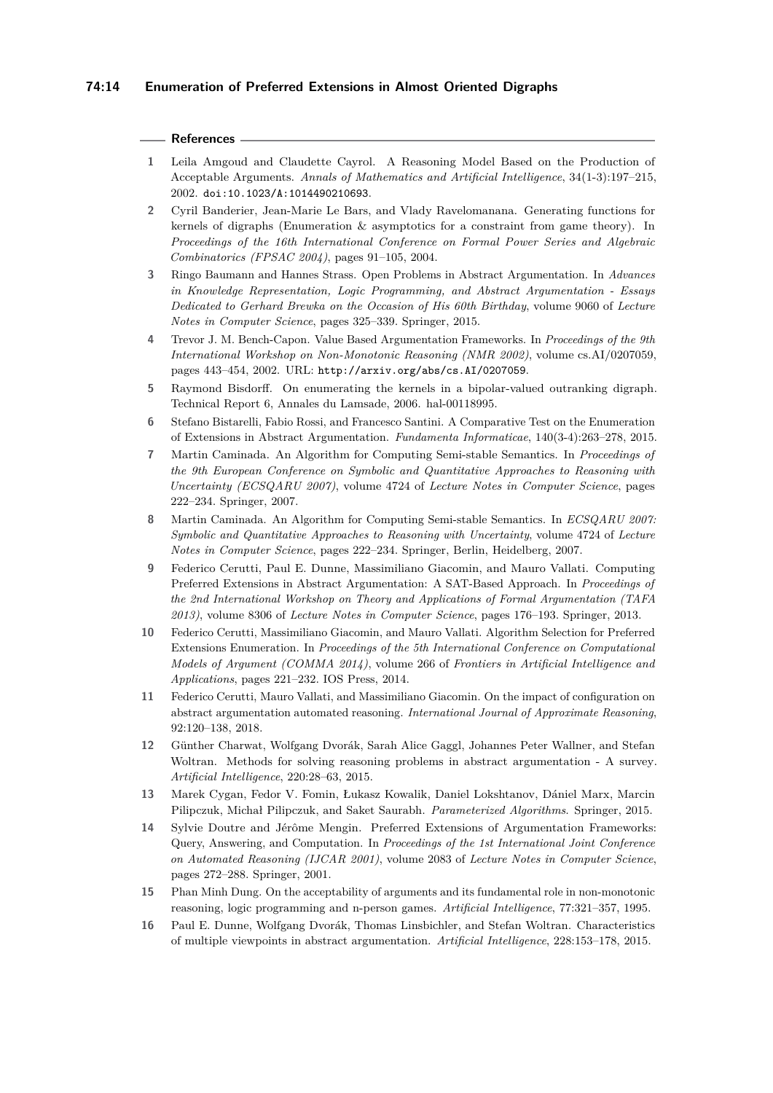### **References**

- <span id="page-13-13"></span>**1** Leila Amgoud and Claudette Cayrol. A Reasoning Model Based on the Production of Acceptable Arguments. *Annals of Mathematics and Artificial Intelligence*, 34(1-3):197–215, 2002. [doi:10.1023/A:1014490210693](https://doi.org/10.1023/A:1014490210693).
- <span id="page-13-1"></span>**2** Cyril Banderier, Jean-Marie Le Bars, and Vlady Ravelomanana. Generating functions for kernels of digraphs (Enumeration  $\&$  asymptotics for a constraint from game theory). In *Proceedings of the 16th International Conference on Formal Power Series and Algebraic Combinatorics (FPSAC 2004)*, pages 91–105, 2004.
- <span id="page-13-10"></span>**3** Ringo Baumann and Hannes Strass. Open Problems in Abstract Argumentation. In *Advances in Knowledge Representation, Logic Programming, and Abstract Argumentation - Essays Dedicated to Gerhard Brewka on the Occasion of His 60th Birthday*, volume 9060 of *Lecture Notes in Computer Science*, pages 325–339. Springer, 2015.
- <span id="page-13-12"></span>**4** Trevor J. M. Bench-Capon. Value Based Argumentation Frameworks. In *Proceedings of the 9th International Workshop on Non-Monotonic Reasoning (NMR 2002)*, volume cs.AI/0207059, pages 443–454, 2002. URL: <http://arxiv.org/abs/cs.AI/0207059>.
- <span id="page-13-2"></span>**5** Raymond Bisdorff. On enumerating the kernels in a bipolar-valued outranking digraph. Technical Report 6, Annales du Lamsade, 2006. hal-00118995.
- <span id="page-13-3"></span>**6** Stefano Bistarelli, Fabio Rossi, and Francesco Santini. A Comparative Test on the Enumeration of Extensions in Abstract Argumentation. *Fundamenta Informaticae*, 140(3-4):263–278, 2015.
- <span id="page-13-4"></span>**7** Martin Caminada. An Algorithm for Computing Semi-stable Semantics. In *Proceedings of the 9th European Conference on Symbolic and Quantitative Approaches to Reasoning with Uncertainty (ECSQARU 2007)*, volume 4724 of *Lecture Notes in Computer Science*, pages 222–234. Springer, 2007.
- <span id="page-13-15"></span>**8** Martin Caminada. An Algorithm for Computing Semi-stable Semantics. In *ECSQARU 2007: Symbolic and Quantitative Approaches to Reasoning with Uncertainty*, volume 4724 of *Lecture Notes in Computer Science*, pages 222–234. Springer, Berlin, Heidelberg, 2007.
- <span id="page-13-5"></span>**9** Federico Cerutti, Paul E. Dunne, Massimiliano Giacomin, and Mauro Vallati. Computing Preferred Extensions in Abstract Argumentation: A SAT-Based Approach. In *Proceedings of the 2nd International Workshop on Theory and Applications of Formal Argumentation (TAFA 2013)*, volume 8306 of *Lecture Notes in Computer Science*, pages 176–193. Springer, 2013.
- <span id="page-13-6"></span>**10** Federico Cerutti, Massimiliano Giacomin, and Mauro Vallati. Algorithm Selection for Preferred Extensions Enumeration. In *Proceedings of the 5th International Conference on Computational Models of Argument (COMMA 2014)*, volume 266 of *Frontiers in Artificial Intelligence and Applications*, pages 221–232. IOS Press, 2014.
- <span id="page-13-7"></span>**11** Federico Cerutti, Mauro Vallati, and Massimiliano Giacomin. On the impact of configuration on abstract argumentation automated reasoning. *International Journal of Approximate Reasoning*, 92:120–138, 2018.
- <span id="page-13-8"></span>**12** Günther Charwat, Wolfgang Dvorák, Sarah Alice Gaggl, Johannes Peter Wallner, and Stefan Woltran. Methods for solving reasoning problems in abstract argumentation - A survey. *Artificial Intelligence*, 220:28–63, 2015.
- <span id="page-13-14"></span>**13** Marek Cygan, Fedor V. Fomin, Łukasz Kowalik, Daniel Lokshtanov, Dániel Marx, Marcin Pilipczuk, Michał Pilipczuk, and Saket Saurabh. *Parameterized Algorithms*. Springer, 2015.
- <span id="page-13-9"></span>**14** Sylvie Doutre and Jérôme Mengin. Preferred Extensions of Argumentation Frameworks: Query, Answering, and Computation. In *Proceedings of the 1st International Joint Conference on Automated Reasoning (IJCAR 2001)*, volume 2083 of *Lecture Notes in Computer Science*, pages 272–288. Springer, 2001.
- <span id="page-13-0"></span>**15** Phan Minh Dung. On the acceptability of arguments and its fundamental role in non-monotonic reasoning, logic programming and n-person games. *Artificial Intelligence*, 77:321–357, 1995.
- <span id="page-13-11"></span>**16** Paul E. Dunne, Wolfgang Dvorák, Thomas Linsbichler, and Stefan Woltran. Characteristics of multiple viewpoints in abstract argumentation. *Artificial Intelligence*, 228:153–178, 2015.